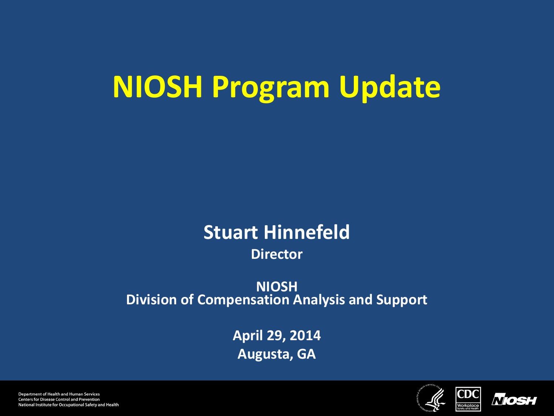# **NIOSH Program Update**

#### **Stuart Hinnefeld Director**

#### **NIOSH Division of Compensation Analysis and Support**

**April 29, 2014 Augusta, GA**





**Department of Health and Human Services Centers for Disease Control and Prevention** National Institute for Occupational Safety and Health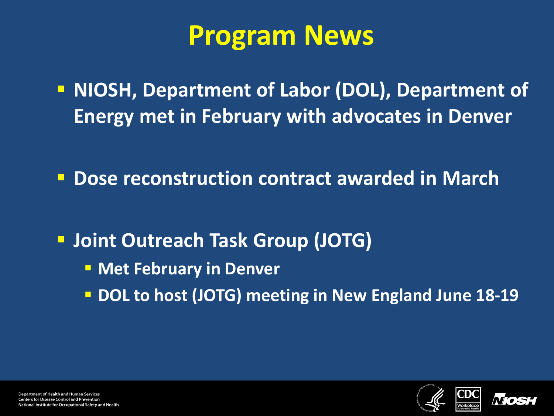## **Program News**

**NIOSH, Department of Labor (DOL), Department of Energy met in February with advocates in Denver**

**Dose reconstruction contract awarded in March**

**Joint Outreach Task Group (JOTG)**

- **EXPED Met February in Denver**
- **DOL to host (JOTG) meeting in New England June 18-19**



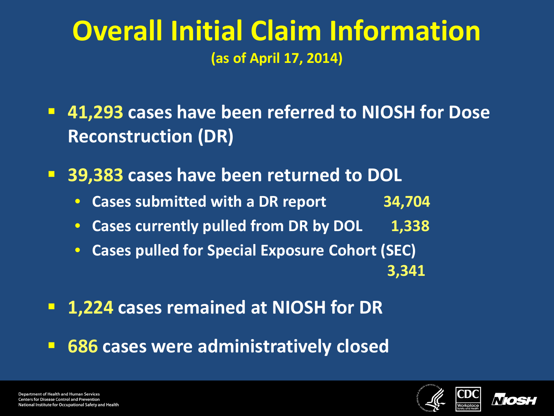### **Overall Initial Claim Information (as of April 17, 2014)**

- **41,293 cases have been referred to NIOSH for Dose Reconstruction (DR)**
- **39,383 cases have been returned to DOL**
	- **Cases submitted with a DR report 34,704**
	- Cases currently pulled from DR by DOL 1,338
	- **Cases pulled for Special Exposure Cohort (SEC)**  ا <mark>3,341 با تاریخ است. از این است که با تاریخ است که با تاریخ است.</mark> از این است که با تاریخ است که با تاریخ است.
- **1,224 cases remained at NIOSH for DR**
- **686 cases were administratively closed**



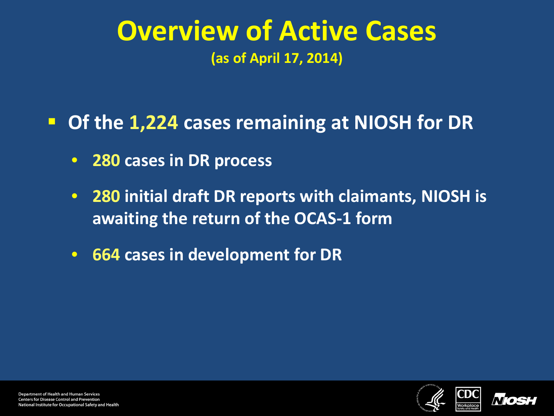### **Overview of Active Cases (as of April 17, 2014)**

### **Of the 1,224 cases remaining at NIOSH for DR**

- **280 cases in DR process**
- **280 initial draft DR reports with claimants, NIOSH is awaiting the return of the OCAS-1 form**
- **664 cases in development for DR**

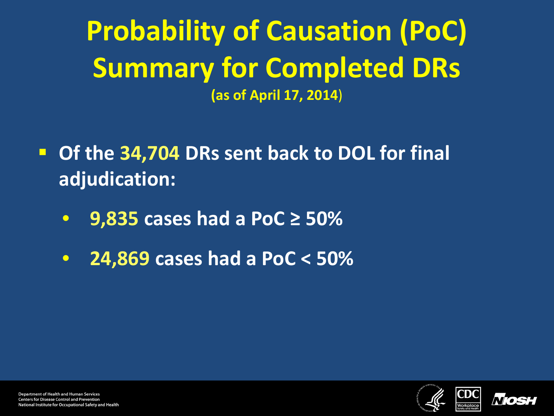**Probability of Causation (PoC) Summary for Completed DRs (as of April 17, 2014**)

- **DRIA:** Of the 34,704 DRs sent back to DOL for final **adjudication:**
	- **9,835 cases had a PoC ≥ 50%**
	- **24,869 cases had a PoC < 50%**



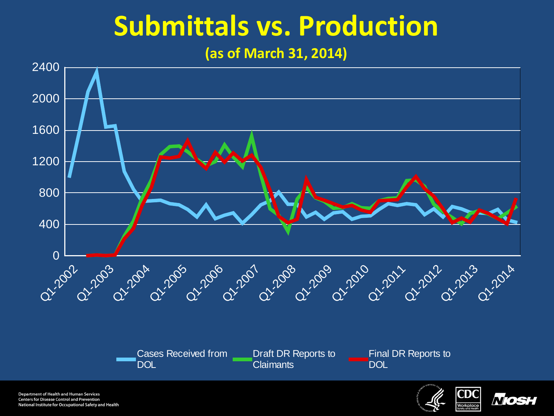# **Submittals vs. Production**

#### **(as of March 31, 2014)**



**Department of Health and Human Services Centers for Disease Control and Prevention** National Institute for Occupational Safety and Health



**NOS**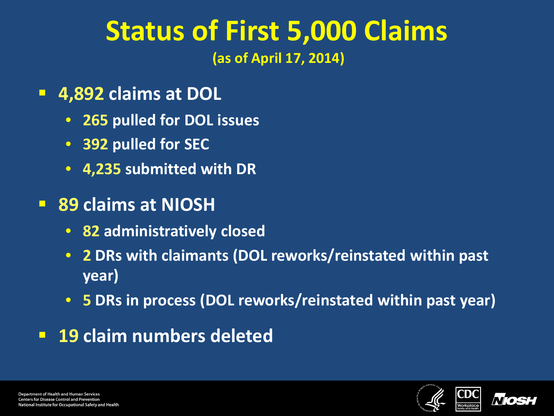### **Status of First 5,000 Claims (as of April 17, 2014)**

- **4,892 claims at DOL**
	- **265 pulled for DOL issues**
	- **392 pulled for SEC**
	- **4,235 submitted with DR**
- **89 claims at NIOSH**
	- **82 administratively closed**
	- **2 DRs with claimants (DOL reworks/reinstated within past year)**
	- **5 DRs in process (DOL reworks/reinstated within past year)**
- **19 claim numbers deleted**



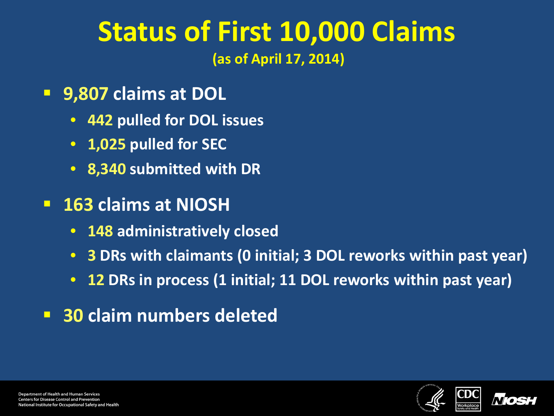### **Status of First 10,000 Claims (as of April 17, 2014)**

- **9,807 claims at DOL**
	- **442 pulled for DOL issues**
	- **1,025 pulled for SEC**
	- **8,340 submitted with DR**
- **163 claims at NIOSH**
	- **148 administratively closed**
	- **3 DRs with claimants (0 initial; 3 DOL reworks within past year)**
	- **12 DRs in process (1 initial; 11 DOL reworks within past year)**
- **30 claim numbers deleted**



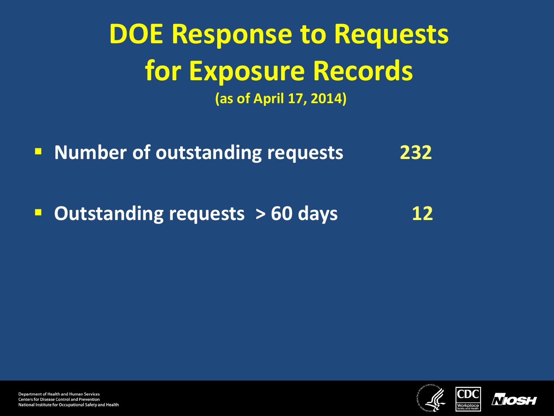## **DOE Response to Requests for Exposure Records (as of April 17, 2014)**

**Number of outstanding requests** 232

**Dutstanding requests > 60 days** 12



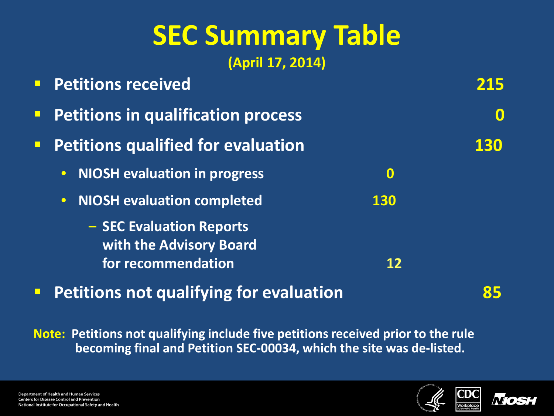# **SEC Summary Table**

**(April 17, 2014)**

| <b>Petitions in qualification process</b><br>$\blacksquare$  |     |
|--------------------------------------------------------------|-----|
|                                                              |     |
| <b>Petitions qualified for evaluation</b><br>$\Box$          | 130 |
| <b>NIOSH evaluation in progress</b><br>$\bullet$<br>$\bf{0}$ |     |
| <b>NIOSH evaluation completed</b><br>130<br>$\bullet$        |     |
| - SEC Evaluation Reports<br>with the Advisory Board          |     |
| for recommendation<br>12                                     |     |

**Petitions not qualifying for evaluation 85**

**Note: Petitions not qualifying include five petitions received prior to the rule becoming final and Petition SEC-00034, which the site was de-listed.**